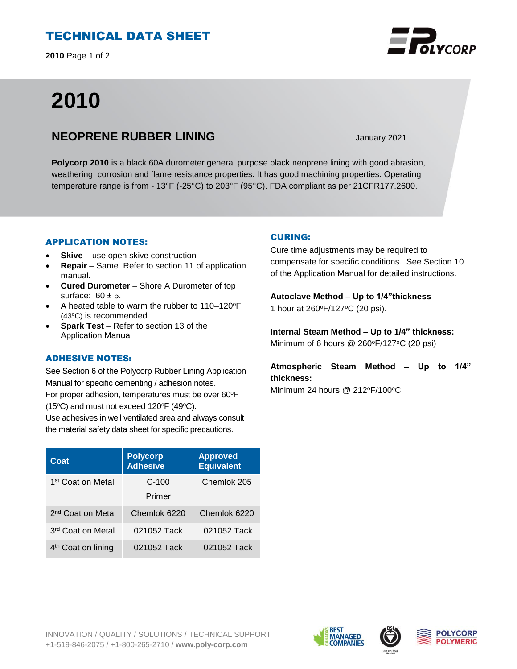# TECHNICAL DATA SHEET

**2010** Page 1 of 2

# **2010**

## **NEOPRENE RUBBER LINING** January 2021

**Polycorp 2010** is a black 60A durometer general purpose black neoprene lining with good abrasion, weathering, corrosion and flame resistance properties. It has good machining properties. Operating temperature range is from - 13°F (-25°C) to 203°F (95°C). FDA compliant as per 21CFR177.2600.

## APPLICATION NOTES:

- **Skive** use open skive construction
- **Repair**  Same. Refer to section 11 of application manual.
- **Cured Durometer**  Shore A Durometer of top surface:  $60 \pm 5$ .
- A heated table to warm the rubber to 110–120°F (43°C) is recommended
- **Spark Test** Refer to section 13 of the Application Manual

## ADHESIVE NOTES:

See Section 6 of the Polycorp Rubber Lining Application Manual for specific cementing / adhesion notes. For proper adhesion, temperatures must be over 60°F (15 $\textdegree$ C) and must not exceed 120 $\textdegree$ F (49 $\textdegree$ C).

Use adhesives in well ventilated area and always consult the material safety data sheet for specific precautions.

| Coat                           | <b>Polycorp</b><br><b>Adhesive</b> | <b>Approved</b><br><b>Equivalent</b> |
|--------------------------------|------------------------------------|--------------------------------------|
| 1 <sup>st</sup> Coat on Metal  | $C-100$                            | Chemlok 205                          |
|                                | Primer                             |                                      |
| 2 <sup>nd</sup> Coat on Metal  | Chemlok 6220                       | Chemlok 6220                         |
| 3 <sup>rd</sup> Coat on Metal  | 021052 Tack                        | 021052 Tack                          |
| 4 <sup>th</sup> Coat on lining | 021052 Tack                        | 021052 Tack                          |

## CURING:

Cure time adjustments may be required to compensate for specific conditions. See Section 10 of the Application Manual for detailed instructions.

**Autoclave Method – Up to 1/4"thickness**  1 hour at 260°F/127°C (20 psi).

**Internal Steam Method – Up to 1/4" thickness:** Minimum of 6 hours  $@$  260 $\degree$ F/127 $\degree$ C (20 psi)

**Atmospheric Steam Method – Up to 1/4" thickness:**

Minimum 24 hours  $@$  212 $\textdegree$ F/100 $\textdegree$ C.